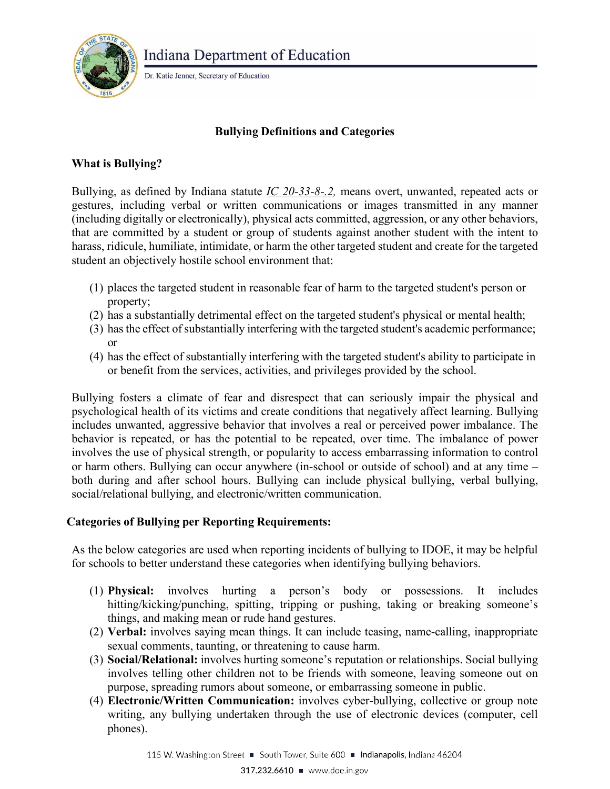

Dr. Katie Jenner, Secretary of Education

# **Bullying Definitions and Categories**

## **What is Bullying?**

Bullying, as defined by Indiana statute *[IC 20-33-8-.2,](http://iga.in.gov/legislative/laws/2017/ic/titles/020#20-33-8-0.2)* means overt, unwanted, repeated acts or gestures, including verbal or written communications or images transmitted in any manner (including digitally or electronically), physical acts committed, aggression, or any other behaviors, that are committed by a student or group of students against another student with the intent to harass, ridicule, humiliate, intimidate, or harm the other targeted student and create for the targeted student an objectively hostile school environment that:

- (1) places the targeted student in reasonable fear of harm to the targeted student's person or property;
- (2) has a substantially detrimental effect on the targeted student's physical or mental health;
- (3) has the effect of substantially interfering with the targeted student's academic performance; or
- (4) has the effect of substantially interfering with the targeted student's ability to participate in or benefit from the services, activities, and privileges provided by the school.

Bullying fosters a climate of fear and disrespect that can seriously impair the physical and psychological health of its victims and create conditions that negatively affect learning. Bullying includes unwanted, aggressive behavior that involves a real or perceived power imbalance. The behavior is repeated, or has the potential to be repeated, over time. The imbalance of power involves the use of physical strength, or popularity to access embarrassing information to control or harm others. Bullying can occur anywhere (in-school or outside of school) and at any time – both during and after school hours. Bullying can include physical bullying, verbal bullying, social/relational bullying, and electronic/written communication.

#### **Categories of Bullying per Reporting Requirements:**

As the below categories are used when reporting incidents of bullying to IDOE, it may be helpful for schools to better understand these categories when identifying bullying behaviors.

- (1) **Physical:** involves hurting a person's body or possessions. It includes hitting/kicking/punching, spitting, tripping or pushing, taking or breaking someone's things, and making mean or rude hand gestures.
- (2) **Verbal:** involves saying mean things. It can include teasing, name-calling, inappropriate sexual comments, taunting, or threatening to cause harm.
- (3) **Social/Relational:** involves hurting someone's reputation or relationships. Social bullying involves telling other children not to be friends with someone, leaving someone out on purpose, spreading rumors about someone, or embarrassing someone in public.
- (4) **Electronic/Written Communication:** involves cyber-bullying, collective or group note writing, any bullying undertaken through the use of electronic devices (computer, cell phones).